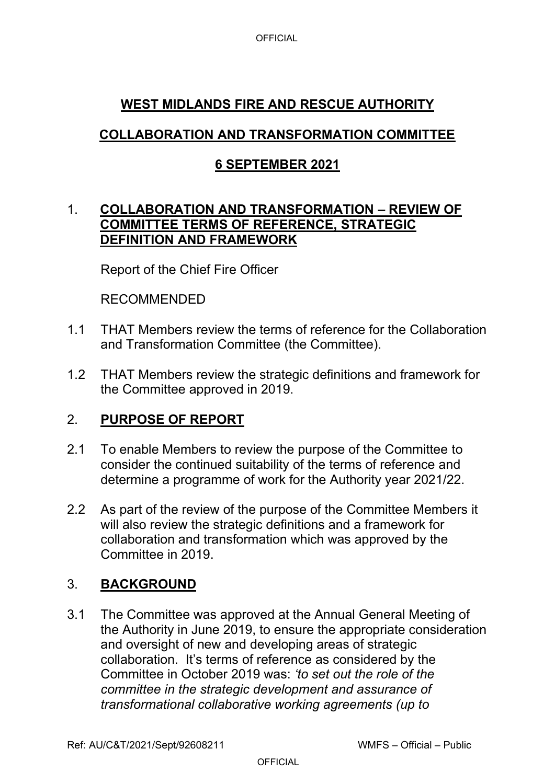# **WEST MIDLANDS FIRE AND RESCUE AUTHORITY**

# **COLLABORATION AND TRANSFORMATION COMMITTEE**

## **6 SEPTEMBER 2021**

#### 1. **COLLABORATION AND TRANSFORMATION – REVIEW OF COMMITTEE TERMS OF REFERENCE, STRATEGIC DEFINITION AND FRAMEWORK**

Report of the Chief Fire Officer

#### RECOMMENDED

- 1.1 THAT Members review the terms of reference for the Collaboration and Transformation Committee (the Committee).
- 1.2 THAT Members review the strategic definitions and framework for the Committee approved in 2019.

### 2. **PURPOSE OF REPORT**

- 2.1 To enable Members to review the purpose of the Committee to consider the continued suitability of the terms of reference and determine a programme of work for the Authority year 2021/22.
- 2.2 As part of the review of the purpose of the Committee Members it will also review the strategic definitions and a framework for collaboration and transformation which was approved by the Committee in 2019.

### 3. **BACKGROUND**

3.1 The Committee was approved at the Annual General Meeting of the Authority in June 2019, to ensure the appropriate consideration and oversight of new and developing areas of strategic collaboration. It's terms of reference as considered by the Committee in October 2019 was: *'to set out the role of the committee in the strategic development and assurance of transformational collaborative working agreements (up to*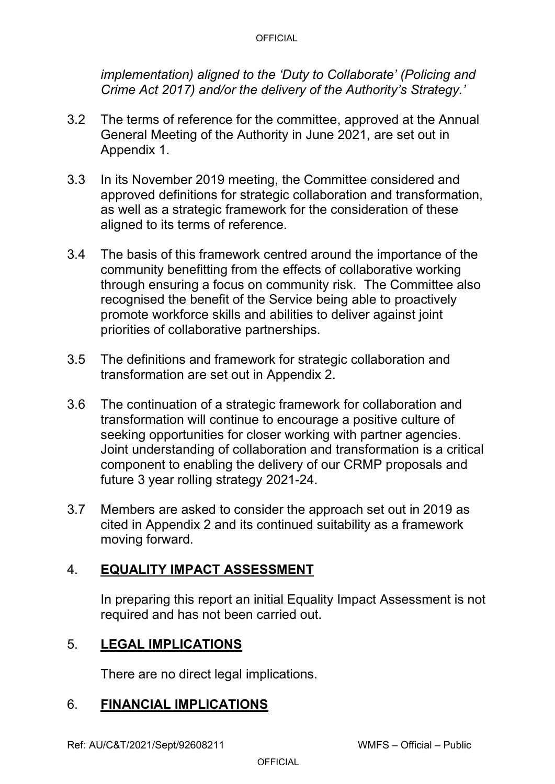*implementation) aligned to the 'Duty to Collaborate' (Policing and Crime Act 2017) and/or the delivery of the Authority's Strategy.'*

- 3.2 The terms of reference for the committee, approved at the Annual General Meeting of the Authority in June 2021, are set out in Appendix 1.
- 3.3 In its November 2019 meeting, the Committee considered and approved definitions for strategic collaboration and transformation, as well as a strategic framework for the consideration of these aligned to its terms of reference.
- 3.4 The basis of this framework centred around the importance of the community benefitting from the effects of collaborative working through ensuring a focus on community risk. The Committee also recognised the benefit of the Service being able to proactively promote workforce skills and abilities to deliver against joint priorities of collaborative partnerships.
- 3.5 The definitions and framework for strategic collaboration and transformation are set out in Appendix 2.
- 3.6 The continuation of a strategic framework for collaboration and transformation will continue to encourage a positive culture of seeking opportunities for closer working with partner agencies. Joint understanding of collaboration and transformation is a critical component to enabling the delivery of our CRMP proposals and future 3 year rolling strategy 2021-24.
- 3.7 Members are asked to consider the approach set out in 2019 as cited in Appendix 2 and its continued suitability as a framework moving forward.

# 4. **EQUALITY IMPACT ASSESSMENT**

In preparing this report an initial Equality Impact Assessment is not required and has not been carried out.

### 5. **LEGAL IMPLICATIONS**

There are no direct legal implications.

### 6. **FINANCIAL IMPLICATIONS**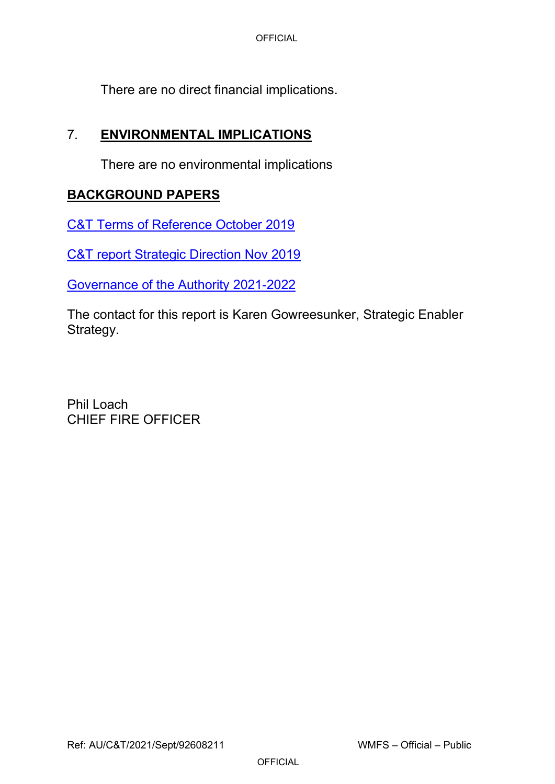There are no direct financial implications.

### 7. **ENVIRONMENTAL IMPLICATIONS**

There are no environmental implications

## **BACKGROUND PAPERS**

[C&T Terms of Reference October 2019](https://wmfs.cmis.uk.com/cmis5/Document.ashx?czJKcaeAi5tUFL1DTL2UE4zNRBcoShgo=m7lxWNH9Gg1htSZ8n603FpWDS6cmkbE1VUhaBDrj5l3Lzw7IQzNZMA%3d%3d&rUzwRPf%2bZ3zd4E7Ikn8Lyw%3d%3d=pwRE6AGJFLDNlh225F5QMaQWCtPHwdhUfCZ%2fLUQzgA2uL5jNRG4jdQ%3d%3d&mCTIbCubSFfXsDGW9IXnlg%3d%3d=hFflUdN3100%3d&kCx1AnS9%2fpWZQ40DXFvdEw%3d%3d=hFflUdN3100%3d&uJovDxwdjMPoYv%2bAJvYtyA%3d%3d=ctNJFf55vVA%3d&FgPlIEJYlotS%2bYGoBi5olA%3d%3d=NHdURQburHA%3d&d9Qjj0ag1Pd993jsyOJqFvmyB7X0CSQK=ctNJFf55vVA%3d&WGewmoAfeNR9xqBux0r1Q8Za60lavYmz=ctNJFf55vVA%3d&WGewmoAfeNQ16B2MHuCpMRKZMwaG1PaO=ctNJFf55vVA%3d)

[C&T report Strategic Direction Nov 2019](https://wmfs.cmis.uk.com/cmis5/Document.ashx?czJKcaeAi5tUFL1DTL2UE4zNRBcoShgo=CUBhMQinUzqB489vs4KEGYdGrIGH95OscSG8WdsFksstnKFphEPEYg%3d%3d&rUzwRPf%2bZ3zd4E7Ikn8Lyw%3d%3d=pwRE6AGJFLDNlh225F5QMaQWCtPHwdhUfCZ%2fLUQzgA2uL5jNRG4jdQ%3d%3d&mCTIbCubSFfXsDGW9IXnlg%3d%3d=hFflUdN3100%3d&kCx1AnS9%2fpWZQ40DXFvdEw%3d%3d=hFflUdN3100%3d&uJovDxwdjMPoYv%2bAJvYtyA%3d%3d=ctNJFf55vVA%3d&FgPlIEJYlotS%2bYGoBi5olA%3d%3d=NHdURQburHA%3d&d9Qjj0ag1Pd993jsyOJqFvmyB7X0CSQK=ctNJFf55vVA%3d&WGewmoAfeNR9xqBux0r1Q8Za60lavYmz=ctNJFf55vVA%3d&WGewmoAfeNQ16B2MHuCpMRKZMwaG1PaO=ctNJFf55vVA%3d)

[Governance of the Authority 2021-2022](https://wmfs.sharepoint.com/sites/fireauthorityreports/Fire%20Authority/2021/21%20June%202021%20-%20AGM/Agenda%20Document%20Pack%20-%20Fire%20Authority%20-%2021_06_2021%20-%20Complete%20Access.pdf)

The contact for this report is Karen Gowreesunker, Strategic Enabler Strategy.

Phil Loach CHIEF FIRE OFFICER